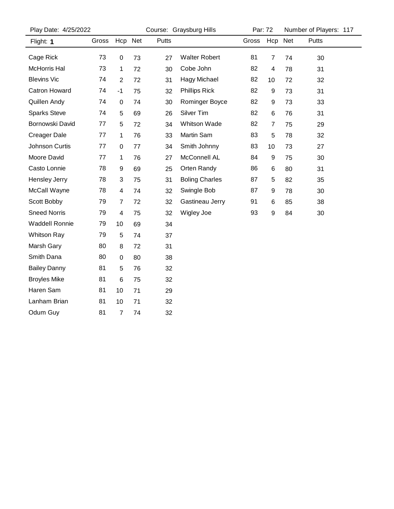| Play Date: 4/25/2022 |       | Course: Graysburg Hills |    |       |                       | Par: 72 |                | Number of Players: 117 |       |  |
|----------------------|-------|-------------------------|----|-------|-----------------------|---------|----------------|------------------------|-------|--|
| Flight: 1            | Gross | Hcp Net                 |    | Putts |                       | Gross   | Hcp Net        |                        | Putts |  |
| Cage Rick            | 73    | 0                       | 73 | 27    | <b>Walter Robert</b>  | 81      | 7              | 74                     | 30    |  |
| <b>McHorris Hal</b>  | 73    | 1                       | 72 | 30    | Cobe John             | 82      | 4              | 78                     | 31    |  |
| <b>Blevins Vic</b>   | 74    | $\overline{c}$          | 72 | 31    | <b>Hagy Michael</b>   | 82      | 10             | 72                     | 32    |  |
| <b>Catron Howard</b> | 74    | $-1$                    | 75 | 32    | <b>Phillips Rick</b>  | 82      | 9              | 73                     | 31    |  |
| Quillen Andy         | 74    | 0                       | 74 | 30    | Rominger Boyce        | 82      | 9              | 73                     | 33    |  |
| <b>Sparks Steve</b>  | 74    | 5                       | 69 | 26    | Silver Tim            | 82      | 6              | 76                     | 31    |  |
| Bornowski David      | 77    | 5                       | 72 | 34    | <b>Whitson Wade</b>   | 82      | $\overline{7}$ | 75                     | 29    |  |
| <b>Creager Dale</b>  | 77    | 1                       | 76 | 33    | Martin Sam            | 83      | 5              | 78                     | 32    |  |
| Johnson Curtis       | 77    | 0                       | 77 | 34    | Smith Johnny          | 83      | 10             | 73                     | 27    |  |
| Moore David          | 77    | 1                       | 76 | 27    | McConnell AL          | 84      | 9              | 75                     | 30    |  |
| Casto Lonnie         | 78    | 9                       | 69 | 25    | Orten Randy           | 86      | 6              | 80                     | 31    |  |
| Hensley Jerry        | 78    | 3                       | 75 | 31    | <b>Boling Charles</b> | 87      | 5              | 82                     | 35    |  |
| McCall Wayne         | 78    | 4                       | 74 | 32    | Swingle Bob           | 87      | 9              | 78                     | 30    |  |
| Scott Bobby          | 79    | 7                       | 72 | 32    | Gastineau Jerry       | 91      | 6              | 85                     | 38    |  |
| <b>Sneed Norris</b>  | 79    | 4                       | 75 | 32    | <b>Wigley Joe</b>     | 93      | 9              | 84                     | 30    |  |
| Waddell Ronnie       | 79    | 10                      | 69 | 34    |                       |         |                |                        |       |  |
| <b>Whitson Ray</b>   | 79    | 5                       | 74 | 37    |                       |         |                |                        |       |  |
| Marsh Gary           | 80    | 8                       | 72 | 31    |                       |         |                |                        |       |  |
| Smith Dana           | 80    | 0                       | 80 | 38    |                       |         |                |                        |       |  |
| <b>Bailey Danny</b>  | 81    | 5                       | 76 | 32    |                       |         |                |                        |       |  |
| <b>Broyles Mike</b>  | 81    | 6                       | 75 | 32    |                       |         |                |                        |       |  |
| Haren Sam            | 81    | 10                      | 71 | 29    |                       |         |                |                        |       |  |
| Lanham Brian         | 81    | 10                      | 71 | 32    |                       |         |                |                        |       |  |
| Odum Guy             | 81    | $\overline{7}$          | 74 | 32    |                       |         |                |                        |       |  |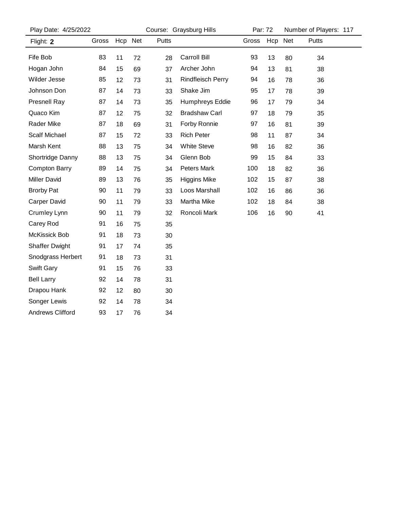| Play Date: 4/25/2022    |       |         |    | Course: Graysburg Hills |                          |       | Par: 72 |    | Number of Players: 117 |  |
|-------------------------|-------|---------|----|-------------------------|--------------------------|-------|---------|----|------------------------|--|
| Flight: 2               | Gross | Hcp Net |    | Putts                   |                          | Gross | Hcp Net |    | Putts                  |  |
| Fife Bob                | 83    | 11      | 72 | 28                      | Carroll Bill             | 93    | 13      | 80 | 34                     |  |
| Hogan John              | 84    | 15      | 69 | 37                      | Archer John              | 94    | 13      | 81 | 38                     |  |
| Wilder Jesse            | 85    | 12      | 73 | 31                      | <b>Rindfleisch Perry</b> | 94    | 16      | 78 | 36                     |  |
| Johnson Don             | 87    | 14      | 73 | 33                      | Shake Jim                | 95    | 17      | 78 | 39                     |  |
| <b>Presnell Ray</b>     | 87    | 14      | 73 | 35                      | Humphreys Eddie          | 96    | 17      | 79 | 34                     |  |
| Quaco Kim               | 87    | 12      | 75 | 32                      | <b>Bradshaw Carl</b>     | 97    | 18      | 79 | 35                     |  |
| Rader Mike              | 87    | 18      | 69 | 31                      | Forby Ronnie             | 97    | 16      | 81 | 39                     |  |
| <b>Scalf Michael</b>    | 87    | 15      | 72 | 33                      | <b>Rich Peter</b>        | 98    | 11      | 87 | 34                     |  |
| Marsh Kent              | 88    | 13      | 75 | 34                      | <b>White Steve</b>       | 98    | 16      | 82 | 36                     |  |
| Shortridge Danny        | 88    | 13      | 75 | 34                      | Glenn Bob                | 99    | 15      | 84 | 33                     |  |
| <b>Compton Barry</b>    | 89    | 14      | 75 | 34                      | Peters Mark              | 100   | 18      | 82 | 36                     |  |
| <b>Miller David</b>     | 89    | 13      | 76 | 35                      | <b>Higgins Mike</b>      | 102   | 15      | 87 | 38                     |  |
| <b>Brorby Pat</b>       | 90    | 11      | 79 | 33                      | Loos Marshall            | 102   | 16      | 86 | 36                     |  |
| <b>Carper David</b>     | 90    | 11      | 79 | 33                      | Martha Mike              | 102   | 18      | 84 | 38                     |  |
| Crumley Lynn            | 90    | 11      | 79 | 32                      | Roncoli Mark             | 106   | 16      | 90 | 41                     |  |
| Carey Rod               | 91    | 16      | 75 | 35                      |                          |       |         |    |                        |  |
| McKissick Bob           | 91    | 18      | 73 | 30                      |                          |       |         |    |                        |  |
| <b>Shaffer Dwight</b>   | 91    | 17      | 74 | 35                      |                          |       |         |    |                        |  |
| Snodgrass Herbert       | 91    | 18      | 73 | 31                      |                          |       |         |    |                        |  |
| <b>Swift Gary</b>       | 91    | 15      | 76 | 33                      |                          |       |         |    |                        |  |
| <b>Bell Larry</b>       | 92    | 14      | 78 | 31                      |                          |       |         |    |                        |  |
| Drapou Hank             | 92    | 12      | 80 | 30                      |                          |       |         |    |                        |  |
| Songer Lewis            | 92    | 14      | 78 | 34                      |                          |       |         |    |                        |  |
| <b>Andrews Clifford</b> | 93    | 17      | 76 | 34                      |                          |       |         |    |                        |  |